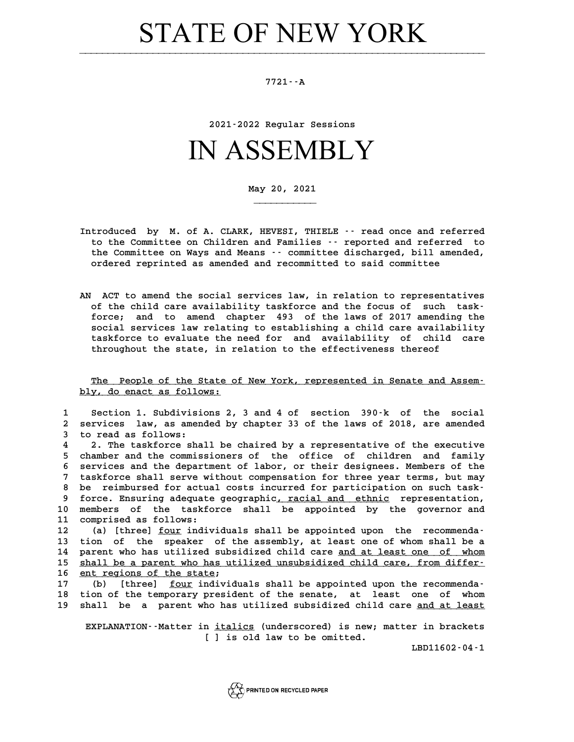## STATE OF NEW YORK

## **7721--A**

**2021-2022 Regular Sessions**

## IN ASSEMBLY

**May 20, 2021**

**\_\_\_\_\_\_\_\_\_\_\_**

- **Introduced by M. of A. CLARK, HEVESI, THIELE -- read once and referred** troduced by M. of A. CLARK, HEVESI, THIELE -- read once and referred<br>to the Committee on Children and Families -- reported and referred to<br>the Committee on Haus and Moans -- sommittee discharged, bill amended troduced by M. of A. CLARK, HEVESI, THIELE -- read once and referred<br>to the Committee on Children and Families -- reported and referred to<br>the Committee on Ways and Means -- committee discharged, bill amended,<br>ordered repr to the Committee on Children and Families <sup>-</sup> reported and referre<br>the Committee on Ways and Means - committee discharged, bill ame:<br>ordered reprinted as amended and recommitted to said committee
- **AN ACT to amend the social services law, in relation to representatives** ACT to amend the social services law, in relation to representatives<br>of the child care availability taskforce and the focus of such task-<br>forse: and to amend chapter 493 of the laws of 2017 amending the ACT to amend the social services law, in relation to representatives<br>of the child care availability taskforce and the focus of such task-<br>force; and to amend chapter 493 of the laws of 2017 amending the<br>gocial services law of the child care availability taskforce and the focus of such task-<br>force; and to amend chapter 493 of the laws of 2017 amending the<br>social services law relating to establishing a child care availability<br>taskforce to eval force; and to amend chapter 493 of the laws of 2017 amending the social services law relating to establishing a child care availability taskforce to evaluate the need for and availability of child care<br>throughout the state social services law relating to establishing a child care availability taskforce to evaluate the need for and availability of child care throughout the state, in relation to the effectiveness thereof

The People of the State of New York, represented in Senate and Assem-<br>**We ded and as follows:** <u>The People of the State o</u><br>bly, do enact as follows:

|                   | bly, do enact as follows:                                                                                                                    |
|-------------------|----------------------------------------------------------------------------------------------------------------------------------------------|
| 1<br>$\mathbf{2}$ | Section 1. Subdivisions 2, 3 and 4 of section 390-k of the social<br>services law, as amended by chapter 33 of the laws of 2018, are amended |
| 3.                | to read as follows:                                                                                                                          |
| 4                 | 2. The taskforce shall be chaired by a representative of the executive                                                                       |
| 5.                | chamber and the commissioners of the office of children and family                                                                           |
| 6.                | services and the department of labor, or their designees. Members of the                                                                     |
| 7                 | taskforce shall serve without compensation for three year terms, but may                                                                     |
| 8                 | be reimbursed for actual costs incurred for participation on such task-                                                                      |
| 9                 | force. Ensuring adequate geographic, racial and ethnic representation,                                                                       |
| 10                | members of the taskforce shall be appointed by the governor and                                                                              |
| 11                | comprised as follows:                                                                                                                        |
| 12                | (a) [three] four individuals shall be appointed upon the recommenda-                                                                         |
| 13                | tion of the speaker of the assembly, at least one of whom shall be a                                                                         |
| 14                | parent who has utilized subsidized child care and at least one of whom                                                                       |
| 15                | shall be a parent who has utilized unsubsidized child care, from differ-                                                                     |
| 16                | ent regions of the state;                                                                                                                    |
| 17                | [three] four individuals shall be appointed upon the recommenda-<br>(b)                                                                      |
| 18                | tion of the temporary president of the senate, at least one of whom                                                                          |
| 19                | shall be a parent who has utilized subsidized child care and at least                                                                        |
|                   |                                                                                                                                              |

hall be a parent who has utilized subsidized child care <u>and at least</u><br>EXPLANATION--Matter in <u>italics</u> (underscored) is new; matter in brackets<br>[1] is ald law to be emitted n <u>italics</u> (underscored) is new; :<br>[ ] is old law to be omitted.

**LBD11602-04-1**

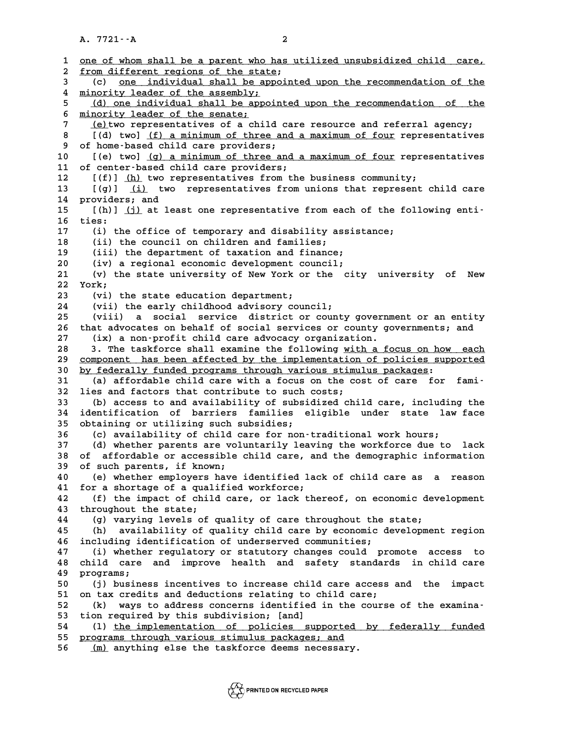**A. 7721--A 2**

|              | $A. 7721 - A$<br>2                                                                                                               |
|--------------|----------------------------------------------------------------------------------------------------------------------------------|
|              |                                                                                                                                  |
| $\mathbf{1}$ | one of whom shall be a parent who has utilized unsubsidized child care,                                                          |
| 2<br>3       | from different regions of the state;<br>one individual shall be appointed upon the recommendation of the<br>(c) —                |
| 4            | minority leader of the assembly;                                                                                                 |
| 5            | (d) one individual shall be appointed upon the recommendation of the                                                             |
| 6            | minority leader of the senate;                                                                                                   |
| 7            | (e) two representatives of a child care resource and referral agency;                                                            |
| 8            | [(d) two] (f) a minimum of three and a maximum of four representatives                                                           |
| 9            | of home-based child care providers;                                                                                              |
| 10           | [(e) two] (g) a minimum of three and a maximum of four representatives                                                           |
| 11           | of center-based child care providers;                                                                                            |
| $12 \,$      | $[(f)]$ (h) two representatives from the business community;                                                                     |
| 13           | [(g)] (i) two representatives from unions that represent child care                                                              |
| 14           | providers; and                                                                                                                   |
| 15           | [(h)] (j) at least one representative from each of the following enti-                                                           |
| 16           | ties:                                                                                                                            |
| 17           | (i) the office of temporary and disability assistance;                                                                           |
| 18           | (ii) the council on children and families;                                                                                       |
| 19<br>20     | (iii) the department of taxation and finance;<br>(iv) a regional economic development council;                                   |
| 21           | (v) the state university of New York or the city university of<br>New                                                            |
| 22           | York;                                                                                                                            |
| 23           | (vi) the state education department;                                                                                             |
| 24           | (vii) the early childhood advisory council;                                                                                      |
| 25           | social service district or county government or an entity<br>(viii)<br>a.                                                        |
| 26           | that advocates on behalf of social services or county governments; and                                                           |
| 27           | (ix) a non-profit child care advocacy organization.                                                                              |
| 28           | 3. The taskforce shall examine the following with a focus on how each                                                            |
| 29           | component has been affected by the implementation of policies supported                                                          |
| 30           | by federally funded programs through various stimulus packages:                                                                  |
| 31<br>32     | (a) affordable child care with a focus on the cost of care for fami-<br>lies and factors that contribute to such costs;          |
| 33           | (b) access to and availability of subsidized child care, including the                                                           |
| 34           | identification of barriers families eligible under state law face                                                                |
| 35           | obtaining or utilizing such subsidies;                                                                                           |
| 36           | (c) availability of child care for non-traditional work hours;                                                                   |
| 37           | (d) whether parents are voluntarily leaving the workforce due to<br>lack                                                         |
| 38           | affordable or accessible child care, and the demographic information<br>OÌ.                                                      |
| 39           | of such parents, if known;                                                                                                       |
| 40           | (e) whether employers have identified lack of child care as a reason                                                             |
| 41           | for a shortage of a qualified workforce;                                                                                         |
| 42           | (f) the impact of child care, or lack thereof, on economic development                                                           |
| 43           | throughout the state;                                                                                                            |
| 44<br>45     | (g) varying levels of quality of care throughout the state;                                                                      |
| 46           | availability of quality child care by economic development region<br>(h)<br>including identification of underserved communities; |
| 47           | (i) whether regulatory or statutory changes could promote access to                                                              |
| 48           | and improve health and safety standards in child care<br>child care                                                              |
| 49           | programs;                                                                                                                        |
| 50           | (j) business incentives to increase child care access and the<br>impact                                                          |
| 51           | on tax credits and deductions relating to child care;                                                                            |
| 52           | ways to address concerns identified in the course of the examina-<br>(k)                                                         |
| 53           | tion required by this subdivision; [and]                                                                                         |
| 54           | (1) the implementation of policies supported by federally funded                                                                 |
| 55           | programs through various stimulus packages; and                                                                                  |
| 56           | (m) anything else the taskforce deems necessary.                                                                                 |